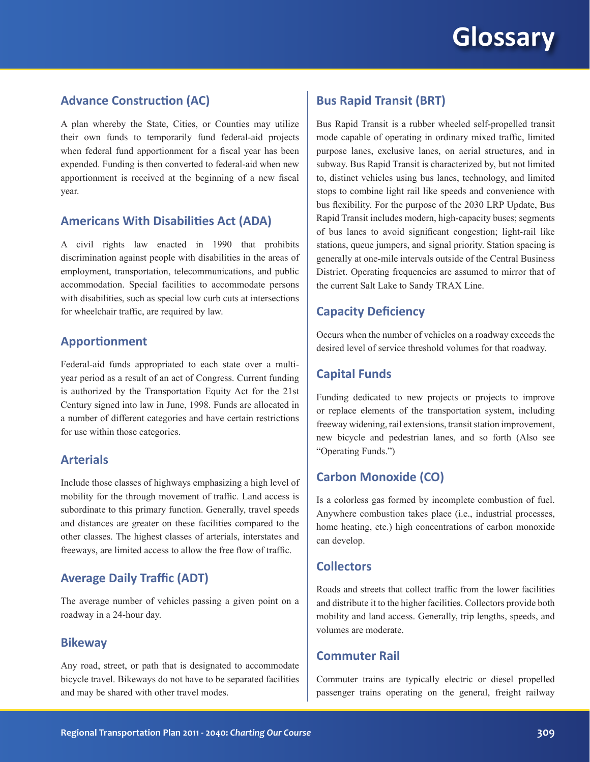# **Glossary**

## **Advance Construction (AC)**

A plan whereby the State, Cities, or Counties may utilize their own funds to temporarily fund federal-aid projects when federal fund apportionment for a fiscal year has been expended. Funding is then converted to federal-aid when new apportionment is received at the beginning of a new fiscal year.

#### **Americans With Disabilities Act (ADA)**

A civil rights law enacted in 1990 that prohibits discrimination against people with disabilities in the areas of employment, transportation, telecommunications, and public accommodation. Special facilities to accommodate persons with disabilities, such as special low curb cuts at intersections for wheelchair traffic, are required by law.

#### **Apportionment**

Federal-aid funds appropriated to each state over a multiyear period as a result of an act of Congress. Current funding is authorized by the Transportation Equity Act for the 21st Century signed into law in June, 1998. Funds are allocated in a number of different categories and have certain restrictions for use within those categories.

### **Arterials**

Include those classes of highways emphasizing a high level of mobility for the through movement of traffic. Land access is subordinate to this primary function. Generally, travel speeds and distances are greater on these facilities compared to the other classes. The highest classes of arterials, interstates and freeways, are limited access to allow the free flow of traffic.

### **Average Daily Traffic (ADT)**

The average number of vehicles passing a given point on a roadway in a 24-hour day.

#### **Bikeway**

Any road, street, or path that is designated to accommodate bicycle travel. Bikeways do not have to be separated facilities and may be shared with other travel modes.

## **Bus Rapid Transit (BRT)**

Bus Rapid Transit is a rubber wheeled self-propelled transit mode capable of operating in ordinary mixed traffic, limited purpose lanes, exclusive lanes, on aerial structures, and in subway. Bus Rapid Transit is characterized by, but not limited to, distinct vehicles using bus lanes, technology, and limited stops to combine light rail like speeds and convenience with bus flexibility. For the purpose of the 2030 LRP Update, Bus Rapid Transit includes modern, high-capacity buses; segments of bus lanes to avoid significant congestion; light-rail like stations, queue jumpers, and signal priority. Station spacing is generally at one-mile intervals outside of the Central Business District. Operating frequencies are assumed to mirror that of the current Salt Lake to Sandy TRAX Line.

## **Capacity Deficiency**

Occurs when the number of vehicles on a roadway exceeds the desired level of service threshold volumes for that roadway.

## **Capital Funds**

Funding dedicated to new projects or projects to improve or replace elements of the transportation system, including freeway widening, rail extensions, transit station improvement, new bicycle and pedestrian lanes, and so forth (Also see "Operating Funds.")

## **Carbon Monoxide (CO)**

Is a colorless gas formed by incomplete combustion of fuel. Anywhere combustion takes place (i.e., industrial processes, home heating, etc.) high concentrations of carbon monoxide can develop.

## **Collectors**

Roads and streets that collect traffic from the lower facilities and distribute it to the higher facilities. Collectors provide both mobility and land access. Generally, trip lengths, speeds, and volumes are moderate.

## **Commuter Rail**

Commuter trains are typically electric or diesel propelled passenger trains operating on the general, freight railway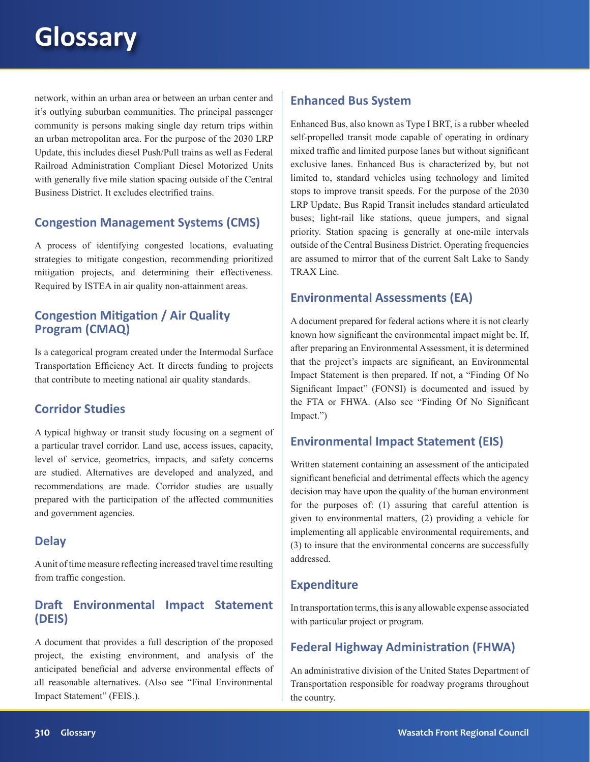# **Glossary**

network, within an urban area or between an urban center and it's outlying suburban communities. The principal passenger community is persons making single day return trips within an urban metropolitan area. For the purpose of the 2030 LRP Update, this includes diesel Push/Pull trains as well as Federal Railroad Administration Compliant Diesel Motorized Units with generally five mile station spacing outside of the Central Business District. It excludes electrified trains.

## **Congestion Management Systems (CMS)**

A process of identifying congested locations, evaluating strategies to mitigate congestion, recommending prioritized mitigation projects, and determining their effectiveness. Required by ISTEA in air quality non-attainment areas.

# **Congestion Mitigation / Air Quality Program (CMAQ)**

Is a categorical program created under the Intermodal Surface Transportation Efficiency Act. It directs funding to projects that contribute to meeting national air quality standards.

# **Corridor Studies**

A typical highway or transit study focusing on a segment of a particular travel corridor. Land use, access issues, capacity, level of service, geometrics, impacts, and safety concerns are studied. Alternatives are developed and analyzed, and recommendations are made. Corridor studies are usually prepared with the participation of the affected communities and government agencies.

## **Delay**

A unit of time measure reflecting increased travel time resulting from traffic congestion.

## **Draft Environmental Impact Statement (DEIS)**

A document that provides a full description of the proposed project, the existing environment, and analysis of the anticipated beneficial and adverse environmental effects of all reasonable alternatives. (Also see "Final Environmental Impact Statement" (FEIS.).

## **Enhanced Bus System**

Enhanced Bus, also known as Type I BRT, is a rubber wheeled self-propelled transit mode capable of operating in ordinary mixed traffic and limited purpose lanes but without significant exclusive lanes. Enhanced Bus is characterized by, but not limited to, standard vehicles using technology and limited stops to improve transit speeds. For the purpose of the 2030 LRP Update, Bus Rapid Transit includes standard articulated buses; light-rail like stations, queue jumpers, and signal priority. Station spacing is generally at one-mile intervals outside of the Central Business District. Operating frequencies are assumed to mirror that of the current Salt Lake to Sandy TRAX Line.

## **Environmental Assessments (EA)**

A document prepared for federal actions where it is not clearly known how significant the environmental impact might be. If, after preparing an Environmental Assessment, it is determined that the project's impacts are significant, an Environmental Impact Statement is then prepared. If not, a "Finding Of No Significant Impact" (FONSI) is documented and issued by the FTA or FHWA. (Also see "Finding Of No Significant Impact.")

## **Environmental Impact Statement (EIS)**

Written statement containing an assessment of the anticipated significant beneficial and detrimental effects which the agency decision may have upon the quality of the human environment for the purposes of: (1) assuring that careful attention is given to environmental matters, (2) providing a vehicle for implementing all applicable environmental requirements, and (3) to insure that the environmental concerns are successfully addressed.

## **Expenditure**

In transportation terms, this is any allowable expense associated with particular project or program.

# **Federal Highway Administration (FHWA)**

An administrative division of the United States Department of Transportation responsible for roadway programs throughout the country.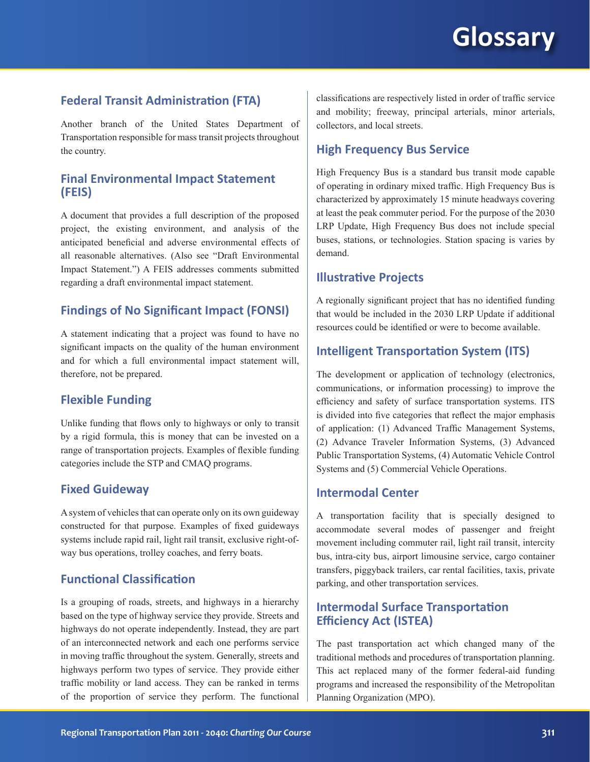# **Federal Transit Administration (FTA)**

Another branch of the United States Department of Transportation responsible for mass transit projects throughout the country.

## **Final Environmental Impact Statement (FEIS)**

A document that provides a full description of the proposed project, the existing environment, and analysis of the anticipated beneficial and adverse environmental effects of all reasonable alternatives. (Also see "Draft Environmental Impact Statement.") A FEIS addresses comments submitted regarding a draft environmental impact statement.

## **Findings of No Significant Impact (FONSI)**

A statement indicating that a project was found to have no significant impacts on the quality of the human environment and for which a full environmental impact statement will, therefore, not be prepared.

### **Flexible Funding**

Unlike funding that flows only to highways or only to transit by a rigid formula, this is money that can be invested on a range of transportation projects. Examples of flexible funding categories include the STP and CMAQ programs.

## **Fixed Guideway**

A system of vehicles that can operate only on its own guideway constructed for that purpose. Examples of fixed guideways systems include rapid rail, light rail transit, exclusive right-ofway bus operations, trolley coaches, and ferry boats.

## **Functional Classification**

Is a grouping of roads, streets, and highways in a hierarchy based on the type of highway service they provide. Streets and highways do not operate independently. Instead, they are part of an interconnected network and each one performs service in moving traffic throughout the system. Generally, streets and highways perform two types of service. They provide either traffic mobility or land access. They can be ranked in terms of the proportion of service they perform. The functional classifications are respectively listed in order of traffic service and mobility; freeway, principal arterials, minor arterials, collectors, and local streets.

### **High Frequency Bus Service**

High Frequency Bus is a standard bus transit mode capable of operating in ordinary mixed traffic. High Frequency Bus is characterized by approximately 15 minute headways covering at least the peak commuter period. For the purpose of the 2030 LRP Update, High Frequency Bus does not include special buses, stations, or technologies. Station spacing is varies by demand.

### **Illustrative Projects**

A regionally significant project that has no identified funding that would be included in the 2030 LRP Update if additional resources could be identified or were to become available.

## **Intelligent Transportation System (ITS)**

The development or application of technology (electronics, communications, or information processing) to improve the efficiency and safety of surface transportation systems. ITS is divided into five categories that reflect the major emphasis of application: (1) Advanced Traffic Management Systems, (2) Advance Traveler Information Systems, (3) Advanced Public Transportation Systems, (4) Automatic Vehicle Control Systems and (5) Commercial Vehicle Operations.

## **Intermodal Center**

A transportation facility that is specially designed to accommodate several modes of passenger and freight movement including commuter rail, light rail transit, intercity bus, intra-city bus, airport limousine service, cargo container transfers, piggyback trailers, car rental facilities, taxis, private parking, and other transportation services.

## **Intermodal Surface Transportation Efficiency Act (ISTEA)**

The past transportation act which changed many of the traditional methods and procedures of transportation planning. This act replaced many of the former federal-aid funding programs and increased the responsibility of the Metropolitan Planning Organization (MPO).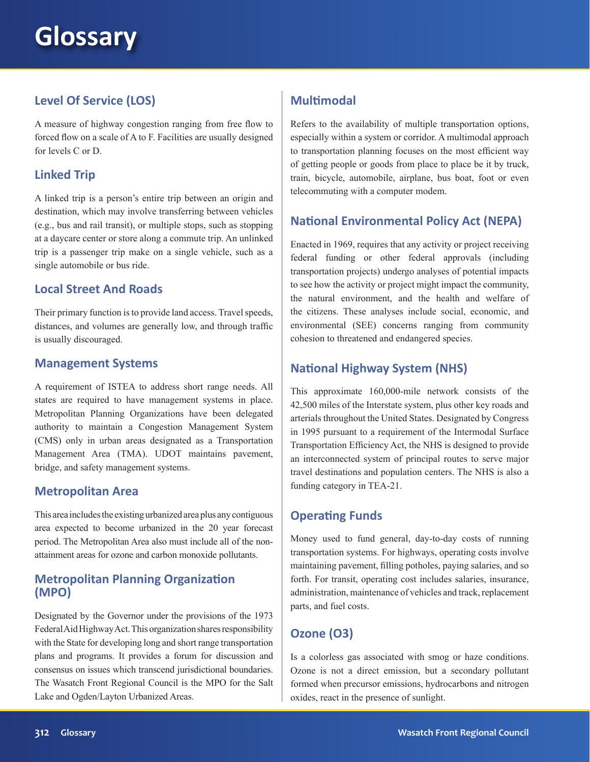# **Level Of Service (LOS)**

A measure of highway congestion ranging from free flow to forced flow on a scale of A to F. Facilities are usually designed for levels C or D.

# **Linked Trip**

A linked trip is a person's entire trip between an origin and destination, which may involve transferring between vehicles (e.g., bus and rail transit), or multiple stops, such as stopping at a daycare center or store along a commute trip. An unlinked trip is a passenger trip make on a single vehicle, such as a single automobile or bus ride.

# **Local Street And Roads**

Their primary function is to provide land access. Travel speeds, distances, and volumes are generally low, and through traffic is usually discouraged.

## **Management Systems**

A requirement of ISTEA to address short range needs. All states are required to have management systems in place. Metropolitan Planning Organizations have been delegated authority to maintain a Congestion Management System (CMS) only in urban areas designated as a Transportation Management Area (TMA). UDOT maintains pavement, bridge, and safety management systems.

# **Metropolitan Area**

This area includes the existing urbanized area plus any contiguous area expected to become urbanized in the 20 year forecast period. The Metropolitan Area also must include all of the nonattainment areas for ozone and carbon monoxide pollutants.

## **Metropolitan Planning Organization (MPO)**

Designated by the Governor under the provisions of the 1973 Federal Aid Highway Act. This organization shares responsibility with the State for developing long and short range transportation plans and programs. It provides a forum for discussion and consensus on issues which transcend jurisdictional boundaries. The Wasatch Front Regional Council is the MPO for the Salt Lake and Ogden/Layton Urbanized Areas.

# **Multimodal**

Refers to the availability of multiple transportation options, especially within a system or corridor. A multimodal approach to transportation planning focuses on the most efficient way of getting people or goods from place to place be it by truck, train, bicycle, automobile, airplane, bus boat, foot or even telecommuting with a computer modem.

# **National Environmental Policy Act (NEPA)**

Enacted in 1969, requires that any activity or project receiving federal funding or other federal approvals (including transportation projects) undergo analyses of potential impacts to see how the activity or project might impact the community, the natural environment, and the health and welfare of the citizens. These analyses include social, economic, and environmental (SEE) concerns ranging from community cohesion to threatened and endangered species.

# **National Highway System (NHS)**

This approximate 160,000-mile network consists of the 42,500 miles of the Interstate system, plus other key roads and arterials throughout the United States. Designated by Congress in 1995 pursuant to a requirement of the Intermodal Surface Transportation Efficiency Act, the NHS is designed to provide an interconnected system of principal routes to serve major travel destinations and population centers. The NHS is also a funding category in TEA-21.

# **Operating Funds**

Money used to fund general, day-to-day costs of running transportation systems. For highways, operating costs involve maintaining pavement, filling potholes, paying salaries, and so forth. For transit, operating cost includes salaries, insurance, administration, maintenance of vehicles and track, replacement parts, and fuel costs.

# **Ozone (O3)**

Is a colorless gas associated with smog or haze conditions. Ozone is not a direct emission, but a secondary pollutant formed when precursor emissions, hydrocarbons and nitrogen oxides, react in the presence of sunlight.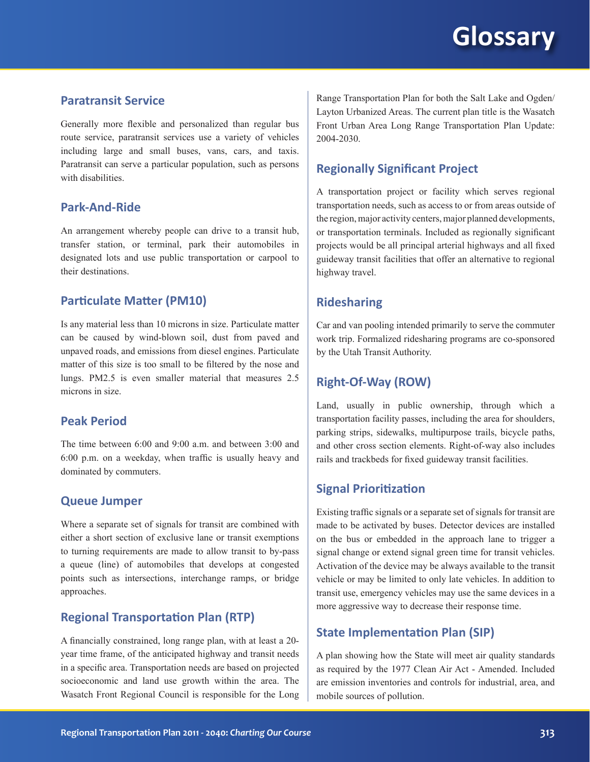# **Glossary**

## **Paratransit Service**

Generally more flexible and personalized than regular bus route service, paratransit services use a variety of vehicles including large and small buses, vans, cars, and taxis. Paratransit can serve a particular population, such as persons with disabilities

## **Park-And-Ride**

An arrangement whereby people can drive to a transit hub, transfer station, or terminal, park their automobiles in designated lots and use public transportation or carpool to their destinations.

## **Particulate Matter (PM10)**

Is any material less than 10 microns in size. Particulate matter can be caused by wind-blown soil, dust from paved and unpaved roads, and emissions from diesel engines. Particulate matter of this size is too small to be filtered by the nose and lungs. PM2.5 is even smaller material that measures 2.5 microns in size.

### **Peak Period**

The time between 6:00 and 9:00 a.m. and between 3:00 and 6:00 p.m. on a weekday, when traffic is usually heavy and dominated by commuters.

#### **Queue Jumper**

Where a separate set of signals for transit are combined with either a short section of exclusive lane or transit exemptions to turning requirements are made to allow transit to by-pass a queue (line) of automobiles that develops at congested points such as intersections, interchange ramps, or bridge approaches.

## **Regional Transportation Plan (RTP)**

A financially constrained, long range plan, with at least a 20 year time frame, of the anticipated highway and transit needs in a specific area. Transportation needs are based on projected socioeconomic and land use growth within the area. The Wasatch Front Regional Council is responsible for the Long Range Transportation Plan for both the Salt Lake and Ogden/ Layton Urbanized Areas. The current plan title is the Wasatch Front Urban Area Long Range Transportation Plan Update: 2004-2030.

## **Regionally Significant Project**

A transportation project or facility which serves regional transportation needs, such as access to or from areas outside of the region, major activity centers, major planned developments, or transportation terminals. Included as regionally significant projects would be all principal arterial highways and all fixed guideway transit facilities that offer an alternative to regional highway travel.

## **Ridesharing**

Car and van pooling intended primarily to serve the commuter work trip. Formalized ridesharing programs are co-sponsored by the Utah Transit Authority.

#### **Right-Of-Way (ROW)**

Land, usually in public ownership, through which a transportation facility passes, including the area for shoulders, parking strips, sidewalks, multipurpose trails, bicycle paths, and other cross section elements. Right-of-way also includes rails and trackbeds for fixed guideway transit facilities.

## **Signal Prioritization**

Existing traffic signals or a separate set of signals for transit are made to be activated by buses. Detector devices are installed on the bus or embedded in the approach lane to trigger a signal change or extend signal green time for transit vehicles. Activation of the device may be always available to the transit vehicle or may be limited to only late vehicles. In addition to transit use, emergency vehicles may use the same devices in a more aggressive way to decrease their response time.

### **State Implementation Plan (SIP)**

A plan showing how the State will meet air quality standards as required by the 1977 Clean Air Act - Amended. Included are emission inventories and controls for industrial, area, and mobile sources of pollution.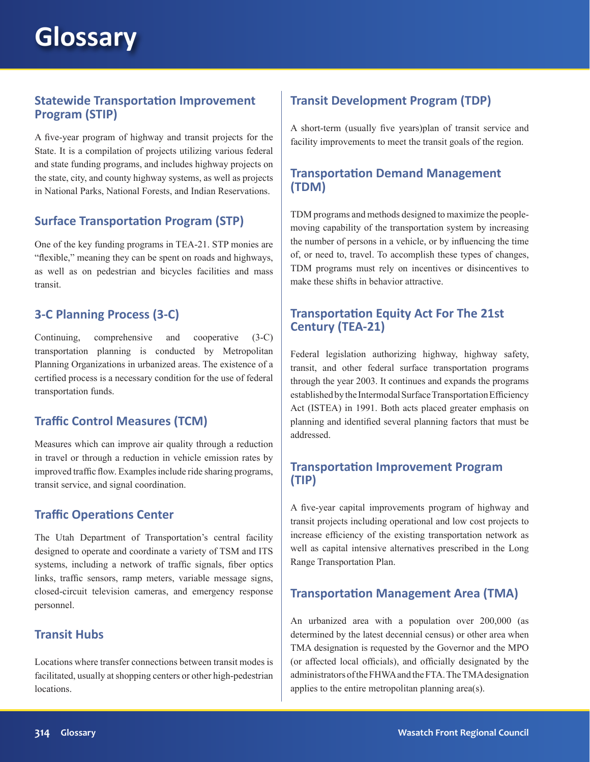## **Statewide Transportation Improvement Program (STIP)**

A five-year program of highway and transit projects for the State. It is a compilation of projects utilizing various federal and state funding programs, and includes highway projects on the state, city, and county highway systems, as well as projects in National Parks, National Forests, and Indian Reservations.

# **Surface Transportation Program (STP)**

One of the key funding programs in TEA-21. STP monies are "flexible," meaning they can be spent on roads and highways, as well as on pedestrian and bicycles facilities and mass transit.

# **3-C Planning Process (3-C)**

Continuing, comprehensive and cooperative (3-C) transportation planning is conducted by Metropolitan Planning Organizations in urbanized areas. The existence of a certified process is a necessary condition for the use of federal transportation funds.

# **Traffic Control Measures (TCM)**

Measures which can improve air quality through a reduction in travel or through a reduction in vehicle emission rates by improved traffic flow. Examples include ride sharing programs, transit service, and signal coordination.

# **Traffic Operations Center**

The Utah Department of Transportation's central facility designed to operate and coordinate a variety of TSM and ITS systems, including a network of traffic signals, fiber optics links, traffic sensors, ramp meters, variable message signs, closed-circuit television cameras, and emergency response personnel.

## **Transit Hubs**

Locations where transfer connections between transit modes is facilitated, usually at shopping centers or other high-pedestrian locations.

# **Transit Development Program (TDP)**

A short-term (usually five years)plan of transit service and facility improvements to meet the transit goals of the region.

# **Transportation Demand Management (TDM)**

TDM programs and methods designed to maximize the peoplemoving capability of the transportation system by increasing the number of persons in a vehicle, or by influencing the time of, or need to, travel. To accomplish these types of changes, TDM programs must rely on incentives or disincentives to make these shifts in behavior attractive.

# **Transportation Equity Act For The 21st Century (TEA-21)**

Federal legislation authorizing highway, highway safety, transit, and other federal surface transportation programs through the year 2003. It continues and expands the programs established by the Intermodal Surface Transportation Efficiency Act (ISTEA) in 1991. Both acts placed greater emphasis on planning and identified several planning factors that must be addressed.

# **Transportation Improvement Program (TIP)**

A five-year capital improvements program of highway and transit projects including operational and low cost projects to increase efficiency of the existing transportation network as well as capital intensive alternatives prescribed in the Long Range Transportation Plan.

# **Transportation Management Area (TMA)**

An urbanized area with a population over 200,000 (as determined by the latest decennial census) or other area when TMA designation is requested by the Governor and the MPO (or affected local officials), and officially designated by the administrators of the FHWA and the FTA. The TMA designation applies to the entire metropolitan planning area(s).